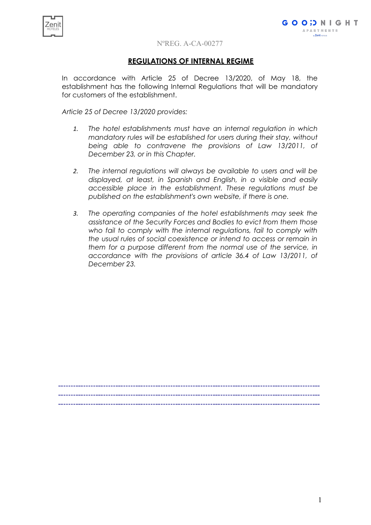

# **REGULATIONS OF INTERNAL REGIME**

In accordance with Article 25 of Decree 13/2020, of May 18, the establishment has the following Internal Regulations that will be mandatory for customers of the establishment.

*Article 25 of Decree 13/2020 provides:*

- *1. The hotel establishments must have an internal regulation in which mandatory rules will be established for users during their stay, without being able to contravene the provisions of Law 13/2011, of December 23, or in this Chapter.*
- *2. The internal regulations will always be available to users and will be displayed, at least, in Spanish and English, in a visible and easily accessible place in the establishment. These regulations must be published on the establishment's own website, if there is one.*
- *3. The operating companies of the hotel establishments may seek the assistance of the Security Forces and Bodies to evict from them those who fail to comply with the internal regulations, fail to comply with the usual rules of social coexistence or intend to access or remain in them for a purpose different from the normal use of the service, in accordance with the provisions of article 36.4 of Law 13/2011, of December 23.*

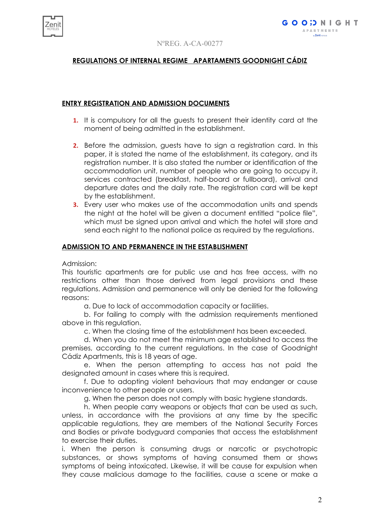

# **REGULATIONS OF INTERNAL REGIME APARTAMENTS GOODNIGHT CÁDIZ**

# **ENTRY REGISTRATION AND ADMISSION DOCUMENTS**

- **1.** It is compulsory for all the guests to present their identity card at the moment of being admitted in the establishment.
- **2.** Before the admission, guests have to sign a registration card. In this paper, it is stated the name of the establishment, its category, and its registration number. It is also stated the number or identification of the accommodation unit, number of people who are going to occupy it, services contracted (breakfast, half-board or fullboard), arrival and departure dates and the daily rate. The registration card will be kept by the establishment.
- **3.** Every user who makes use of the accommodation units and spends the night at the hotel will be given a document entitled "police file", which must be signed upon arrival and which the hotel will store and send each night to the national police as required by the regulations.

## **ADMISSION TO AND PERMANENCE IN THE ESTABLISHMENT**

Admission:

This touristic apartments are for public use and has free access, with no restrictions other than those derived from legal provisions and these regulations. Admission and permanence will only be denied for the following reasons:

a. Due to lack of accommodation capacity or facilities.

b. For failing to comply with the admission requirements mentioned above in this regulation.

c. When the closing time of the establishment has been exceeded.

d. When you do not meet the minimum age established to access the premises, according to the current regulations. In the case of Goodnight Cádiz Apartments, this is 18 years of age.

e. When the person attempting to access has not paid the designated amount in cases where this is required.

f. Due to adopting violent behaviours that may endanger or cause inconvenience to other people or users.

g. When the person does not comply with basic hygiene standards.

h. When people carry weapons or objects that can be used as such, unless, in accordance with the provisions at any time by the specific applicable regulations, they are members of the National Security Forces and Bodies or private bodyguard companies that access the establishment to exercise their duties.

i. When the person is consuming drugs or narcotic or psychotropic substances, or shows symptoms of having consumed them or shows symptoms of being intoxicated. Likewise, it will be cause for expulsion when they cause malicious damage to the facilities, cause a scene or make a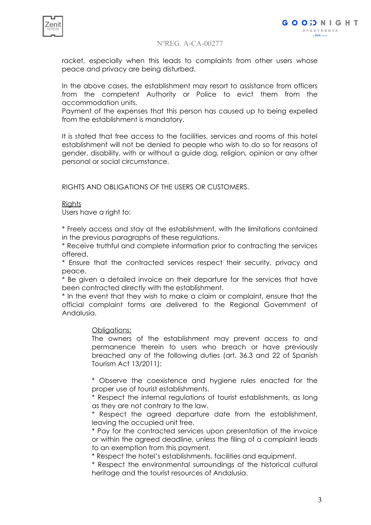

racket, especially when this leads to complaints from other users whose peace and privacy are being disturbed.

In the above cases, the establishment may resort to assistance from officers from the competent Authority or Police to evict them from the accommodation units.

Payment of the expenses that this person has caused up to being expelled from the establishment is mandatory.

It is stated that free access to the facilities, services and rooms of this hotel establishment will not be denied to people who wish to do so for reasons of gender, disability, with or without a guide dog, religion, opinion or any other personal or social circumstance.

RIGHTS AND OBLIGATIONS OF THE USERS OR CUSTOMERS.

#### Rights

Users have a right to:

\* Freely access and stay at the establishment, with the limitations contained in the previous paragraphs of these regulations.

\* Receive truthful and complete information prior to contracting the services offered.

\* Ensure that the contracted services respect their security, privacy and peace.

\* Be given a detailed invoice on their departure for the services that have been contracted directly with the establishment.

\* In the event that they wish to make a claim or complaint, ensure that the official complaint forms are delivered to the Regional Government of Andalusia.

## Obligations:

The owners of the establishment may prevent access to and permanence therein to users who breach or have previously breached any of the following duties (art. 36.3 and 22 of Spanish Tourism Act 13/2011):

\* Observe the coexistence and hygiene rules enacted for the proper use of tourist establishments.

\* Respect the internal regulations of tourist establishments, as long as they are not contrary to the law.

\* Respect the agreed departure date from the establishment, leaving the occupied unit free.

\* Pay for the contracted services upon presentation of the invoice or within the agreed deadline, unless the filing of a complaint leads to an exemption from this payment.

\* Respect the hotel's establishments, facilities and equipment.

\* Respect the environmental surroundings of the historical cultural heritage and the tourist resources of Andalusia.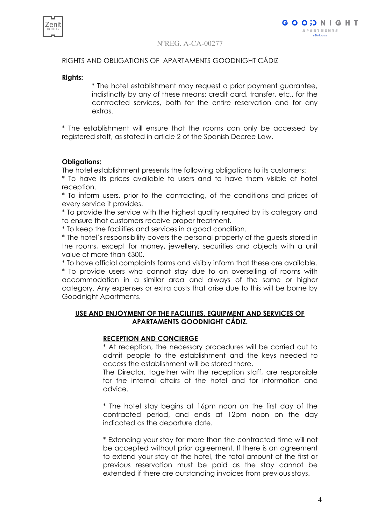

# RIGHTS AND OBLIGATIONS OF APARTAMENTS GOODNIGHT CÁDIZ

#### **Rights:**

\* The hotel establishment may request a prior payment guarantee, indistinctly by any of these means: credit card, transfer, etc., for the contracted services, both for the entire reservation and for any extras.

\* The establishment will ensure that the rooms can only be accessed by registered staff, as stated in article 2 of the Spanish Decree Law.

## **Obligations:**

The hotel establishment presents the following obligations to its customers:

\* To have its prices available to users and to have them visible at hotel reception.

\* To inform users, prior to the contracting, of the conditions and prices of every service it provides.

\* To provide the service with the highest quality required by its category and to ensure that customers receive proper treatment.

\* To keep the facilities and services in a good condition.

\* The hotel's responsibility covers the personal property of the guests stored in the rooms, except for money, jewellery, securities and objects with a unit value of more than €300.

\* To have official complaints forms and visibly inform that these are available.

\* To provide users who cannot stay due to an overselling of rooms with accommodation in a similar area and always of the same or higher category. Any expenses or extra costs that arise due to this will be borne by Goodnight Apartments.

## **USE AND ENJOYMENT OF THE FACILITIES, EQUIPMENT AND SERVICES OF APARTAMENTS GOODNIGHT CÁDIZ.**

# **RECEPTION AND CONCIERGE**

\* At reception, the necessary procedures will be carried out to admit people to the establishment and the keys needed to access the establishment will be stored there.

The Director, together with the reception staff, are responsible for the internal affairs of the hotel and for information and advice.

\* The hotel stay begins at 16pm noon on the first day of the contracted period, and ends at 12pm noon on the day indicated as the departure date.

\* Extending your stay for more than the contracted time will not be accepted without prior agreement. If there is an agreement to extend your stay at the hotel, the total amount of the first or previous reservation must be paid as the stay cannot be extended if there are outstanding invoices from previous stays.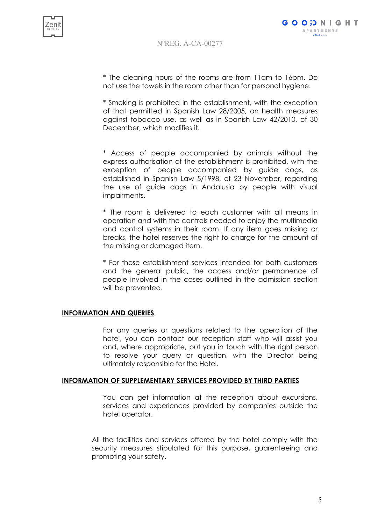

\* The cleaning hours of the rooms are from 11am to 16pm. Do not use the towels in the room other than for personal hygiene.

\* Smoking is prohibited in the establishment, with the exception of that permitted in Spanish Law 28/2005, on health measures against tobacco use, as well as in Spanish Law 42/2010, of 30 December, which modifies it.

\* Access of people accompanied by animals without the express authorisation of the establishment is prohibited, with the exception of people accompanied by guide dogs, as established in Spanish Law 5/1998, of 23 November, regarding the use of guide dogs in Andalusia by people with visual impairments.

\* The room is delivered to each customer with all means in operation and with the controls needed to enjoy the multimedia and control systems in their room. If any item goes missing or breaks, the hotel reserves the right to charge for the amount of the missing or damaged item.

\* For those establishment services intended for both customers and the general public, the access and/or permanence of people involved in the cases outlined in the admission section will be prevented.

#### **INFORMATION AND QUERIES**

For any queries or questions related to the operation of the hotel, you can contact our reception staff who will assist you and, where appropriate, put you in touch with the right person to resolve your query or question, with the Director being ultimately responsible for the Hotel.

#### **INFORMATION OF SUPPLEMENTARY SERVICES PROVIDED BY THIRD PARTIES**

You can get information at the reception about excursions, services and experiences provided by companies outside the hotel operator.

All the facilities and services offered by the hotel comply with the security measures stipulated for this purpose, guarenteeing and promoting your safety.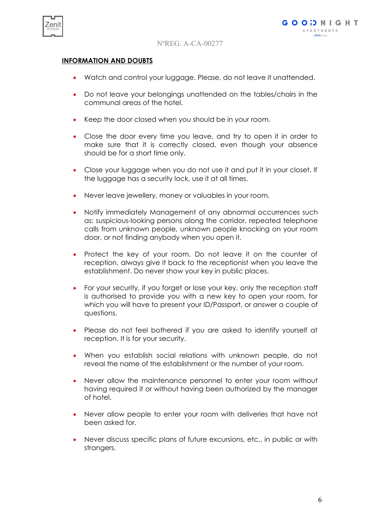

# **INFORMATION AND DOUBTS**

- Watch and control your luggage. Please, do not leave it unattended.
- Do not leave your belongings unattended on the tables/chairs in the communal areas of the hotel.
- Keep the door closed when you should be in your room.
- Close the door every time you leave, and try to open it in order to make sure that it is correctly closed, even though your absence should be for a short time only.
- Close your luggage when you do not use it and put it in your closet. If the luggage has a security lock, use it at all times.
- Never leave jewellery, money or valuables in your room.
- Notify immediately Management of any abnormal occurrences such as: suspicious-looking persons along the corridor, repeated telephone calls from unknown people, unknown people knocking on your room door, or not finding anybody when you open it.
- Protect the key of your room. Do not leave it on the counter of reception, always give it back to the receptionist when you leave the establishment. Do never show your key in public places.
- For your security, if you forget or lose your key, only the reception staff is authorised to provide you with a new key to open your room, for which you will have to present your ID/Passport, or answer a couple of questions.
- Please do not feel bothered if you are asked to identify yourself at reception. It is for your security.
- When you establish social relations with unknown people, do not reveal the name of the establishment or the number of your room.
- Never allow the maintenance personnel to enter your room without having required it or without having been authorized by the manager of hotel.
- Never allow people to enter your room with deliveries that have not been asked for.
- Never discuss specific plans of future excursions, etc., in public or with strangers.